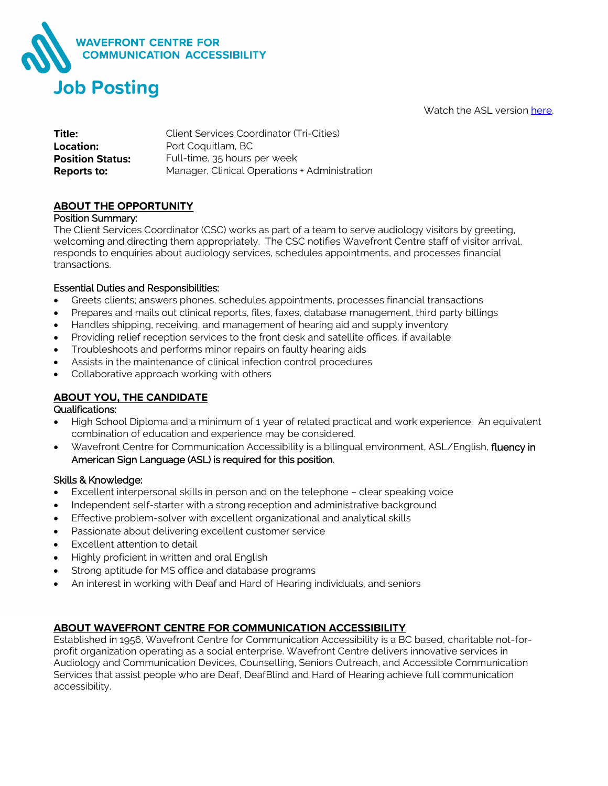

Watch the ASL version [here.](https://youtu.be/dshOPT1geys)

| Title:                  | Client Services Coordinator (Tri-Cities)      |
|-------------------------|-----------------------------------------------|
| Location:               | Port Coquitlam, BC                            |
| <b>Position Status:</b> | Full-time, 35 hours per week                  |
| Reports to:             | Manager, Clinical Operations + Administration |

# **ABOUT THE OPPORTUNITY**

### Position Summary:

The Client Services Coordinator (CSC) works as part of a team to serve audiology visitors by greeting, welcoming and directing them appropriately. The CSC notifies Wavefront Centre staff of visitor arrival, responds to enquiries about audiology services, schedules appointments, and processes financial transactions.

### Essential Duties and Responsibilities:

- Greets clients; answers phones, schedules appointments, processes financial transactions
- Prepares and mails out clinical reports, files, faxes, database management, third party billings
- Handles shipping, receiving, and management of hearing aid and supply inventory
- Providing relief reception services to the front desk and satellite offices, if available
- Troubleshoots and performs minor repairs on faulty hearing aids
- Assists in the maintenance of clinical infection control procedures
- Collaborative approach working with others

## **ABOUT YOU, THE CANDIDATE**

### Qualifications:

- High School Diploma and a minimum of 1 year of related practical and work experience. An equivalent combination of education and experience may be considered.
- Wavefront Centre for Communication Accessibility is a bilingual environment, ASL/English, fluency in American Sign Language (ASL) is required for this position.

### Skills & Knowledge:

- Excellent interpersonal skills in person and on the telephone clear speaking voice
- Independent self-starter with a strong reception and administrative background
- Effective problem-solver with excellent organizational and analytical skills
- Passionate about delivering excellent customer service
- Excellent attention to detail
- Highly proficient in written and oral English
- Strong aptitude for MS office and database programs
- An interest in working with Deaf and Hard of Hearing individuals, and seniors

### **ABOUT WAVEFRONT CENTRE FOR COMMUNICATION ACCESSIBILITY**

Established in 1956, Wavefront Centre for Communication Accessibility is a BC based, charitable not-forprofit organization operating as a social enterprise. Wavefront Centre delivers innovative services in Audiology and Communication Devices, Counselling, Seniors Outreach, and Accessible Communication Services that assist people who are Deaf, DeafBlind and Hard of Hearing achieve full communication accessibility.